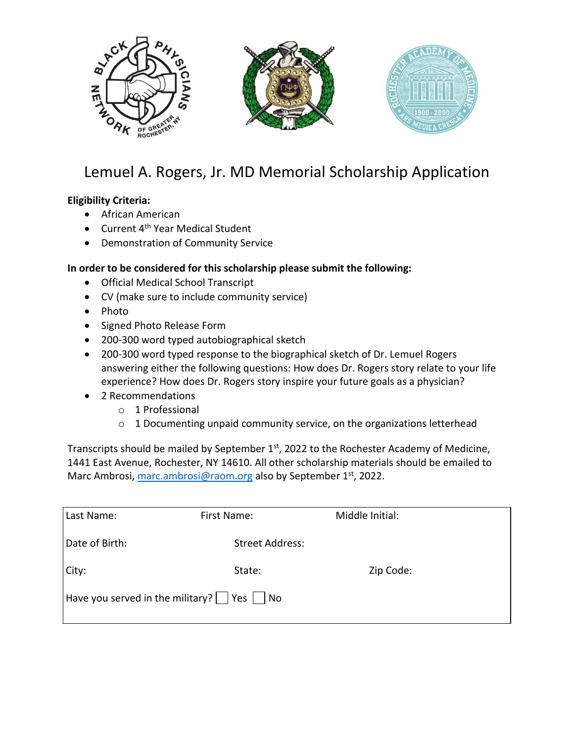

## Lemuel A. Rogers, Jr. MD Memorial Scholarship Application

## **Eligibility Criteria:**

- African American
- Current 4<sup>th</sup> Year Medical Student
- Demonstration of Community Service

## **In order to be considered for this scholarship please submit the following:**

- Official Medical School Transcript
- CV (make sure to include community service)
- Photo
- Signed Photo Release Form
- 200-300 word typed autobiographical sketch
- 200-300 word typed response to the biographical sketch of Dr. Lemuel Rogers answering either the following questions: How does Dr. Rogers story relate to your life experience? How does Dr. Rogers story inspire your future goals as a physician?
- 2 Recommendations
	- o 1 Professional
	- o 1 Documenting unpaid community service, on the organizations letterhead

Transcripts should be mailed by September 1<sup>st</sup>, 2022 to the Rochester Academy of Medicine, 1441 East Avenue, Rochester, NY 14610. All other scholarship materials should be emailed to Marc Ambrosi, [marc.ambrosi@raom.org](mailto:marc.ambrosi@raom.org) also by September 1st, 2022.

| Last Name:                                                                      | First Name:            | Middle Initial: |
|---------------------------------------------------------------------------------|------------------------|-----------------|
| Date of Birth:                                                                  | <b>Street Address:</b> |                 |
| City:                                                                           | State:                 | Zip Code:       |
| $\vert$ Have you served in the military? $\vert \ \vert$ Yes $\vert \ \vert$ No |                        |                 |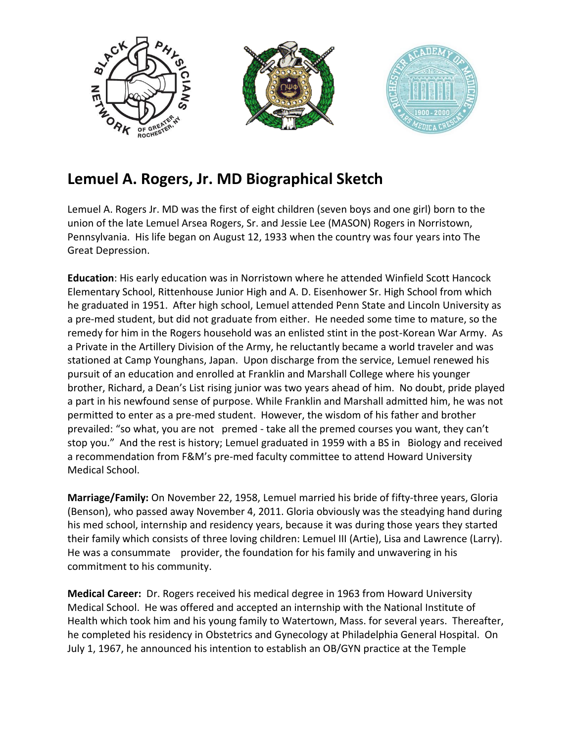

## **Lemuel A. Rogers, Jr. MD Biographical Sketch**

Lemuel A. Rogers Jr. MD was the first of eight children (seven boys and one girl) born to the union of the late Lemuel Arsea Rogers, Sr. and Jessie Lee (MASON) Rogers in Norristown, Pennsylvania. His life began on August 12, 1933 when the country was four years into The Great Depression.

**Education**: His early education was in Norristown where he attended Winfield Scott Hancock Elementary School, Rittenhouse Junior High and A. D. Eisenhower Sr. High School from which he graduated in 1951. After high school, Lemuel attended Penn State and Lincoln University as a pre-med student, but did not graduate from either. He needed some time to mature, so the remedy for him in the Rogers household was an enlisted stint in the post-Korean War Army. As a Private in the Artillery Division of the Army, he reluctantly became a world traveler and was stationed at Camp Younghans, Japan. Upon discharge from the service, Lemuel renewed his pursuit of an education and enrolled at Franklin and Marshall College where his younger brother, Richard, a Dean's List rising junior was two years ahead of him. No doubt, pride played a part in his newfound sense of purpose. While Franklin and Marshall admitted him, he was not permitted to enter as a pre-med student. However, the wisdom of his father and brother prevailed: "so what, you are not premed - take all the premed courses you want, they can't stop you." And the rest is history; Lemuel graduated in 1959 with a BS in Biology and received a recommendation from F&M's pre-med faculty committee to attend Howard University Medical School.

**Marriage/Family:** On November 22, 1958, Lemuel married his bride of fifty-three years, Gloria (Benson), who passed away November 4, 2011. Gloria obviously was the steadying hand during his med school, internship and residency years, because it was during those years they started their family which consists of three loving children: Lemuel III (Artie), Lisa and Lawrence (Larry). He was a consummate provider, the foundation for his family and unwavering in his commitment to his community.

**Medical Career:** Dr. Rogers received his medical degree in 1963 from Howard University Medical School. He was offered and accepted an internship with the National Institute of Health which took him and his young family to Watertown, Mass. for several years. Thereafter, he completed his residency in Obstetrics and Gynecology at Philadelphia General Hospital. On July 1, 1967, he announced his intention to establish an OB/GYN practice at the Temple